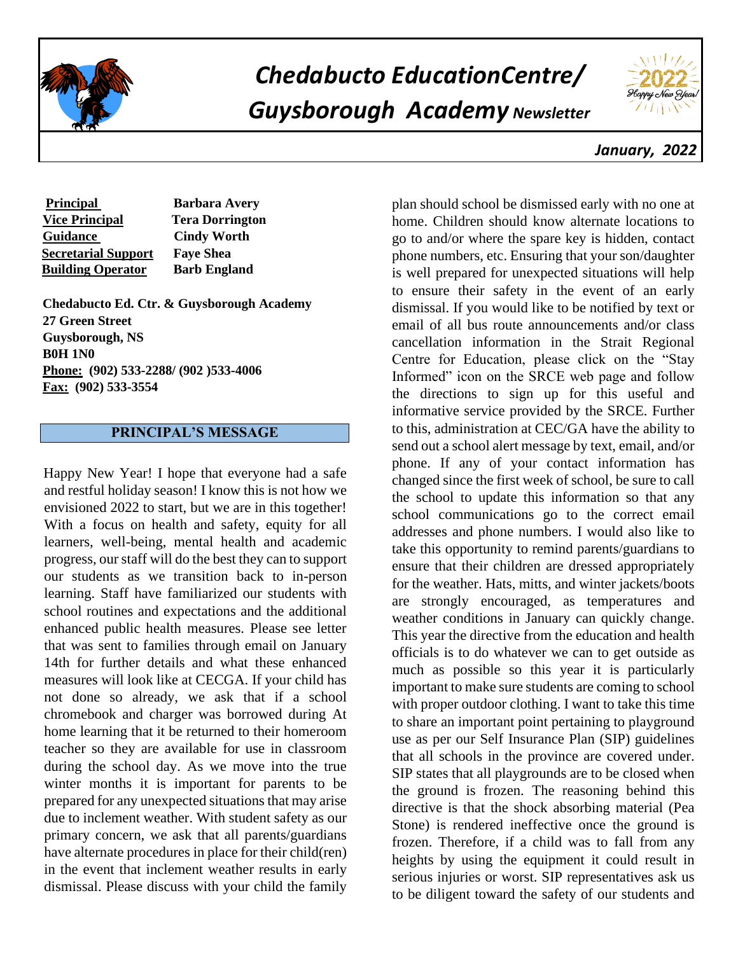

# *Chedabucto EducationCentre/ Guysborough Academy Newsletter*



 *January, 2022*

| <b>Principal</b>           | <b>Barbara Avery</b>   |
|----------------------------|------------------------|
| <b>Vice Principal</b>      | <b>Tera Dorrington</b> |
| <b>Guidance</b>            | <b>Cindy Worth</b>     |
| <b>Secretarial Support</b> | <b>Faye Shea</b>       |
| <b>Building Operator</b>   | <b>Barb England</b>    |

**Chedabucto Ed. Ctr. & Guysborough Academy 27 Green Street Guysborough, NS B0H 1N0 Phone: (902) 533-2288/ (902 )533-4006 Fax: (902) 533-3554** 

## **PRINCIPAL'S MESSAGE**

Happy New Year! I hope that everyone had a safe and restful holiday season! I know this is not how we envisioned 2022 to start, but we are in this together! With a focus on health and safety, equity for all learners, well-being, mental health and academic progress, our staff will do the best they can to support our students as we transition back to in-person learning. Staff have familiarized our students with school routines and expectations and the additional enhanced public health measures. Please see letter that was sent to families through email on January 14th for further details and what these enhanced measures will look like at CECGA. If your child has not done so already, we ask that if a school chromebook and charger was borrowed during At home learning that it be returned to their homeroom teacher so they are available for use in classroom during the school day. As we move into the true winter months it is important for parents to be prepared for any unexpected situations that may arise due to inclement weather. With student safety as our primary concern, we ask that all parents/guardians have alternate procedures in place for their child(ren) in the event that inclement weather results in early dismissal. Please discuss with your child the family

plan should school be dismissed early with no one at home. Children should know alternate locations to go to and/or where the spare key is hidden, contact phone numbers, etc. Ensuring that your son/daughter is well prepared for unexpected situations will help to ensure their safety in the event of an early dismissal. If you would like to be notified by text or email of all bus route announcements and/or class cancellation information in the Strait Regional Centre for Education, please click on the "Stay Informed" icon on the SRCE web page and follow the directions to sign up for this useful and informative service provided by the SRCE. Further to this, administration at CEC/GA have the ability to send out a school alert message by text, email, and/or phone. If any of your contact information has changed since the first week of school, be sure to call the school to update this information so that any school communications go to the correct email addresses and phone numbers. I would also like to take this opportunity to remind parents/guardians to ensure that their children are dressed appropriately for the weather. Hats, mitts, and winter jackets/boots are strongly encouraged, as temperatures and weather conditions in January can quickly change. This year the directive from the education and health officials is to do whatever we can to get outside as much as possible so this year it is particularly important to make sure students are coming to school with proper outdoor clothing. I want to take this time to share an important point pertaining to playground use as per our Self Insurance Plan (SIP) guidelines that all schools in the province are covered under. SIP states that all playgrounds are to be closed when the ground is frozen. The reasoning behind this directive is that the shock absorbing material (Pea Stone) is rendered ineffective once the ground is frozen. Therefore, if a child was to fall from any heights by using the equipment it could result in serious injuries or worst. SIP representatives ask us to be diligent toward the safety of our students and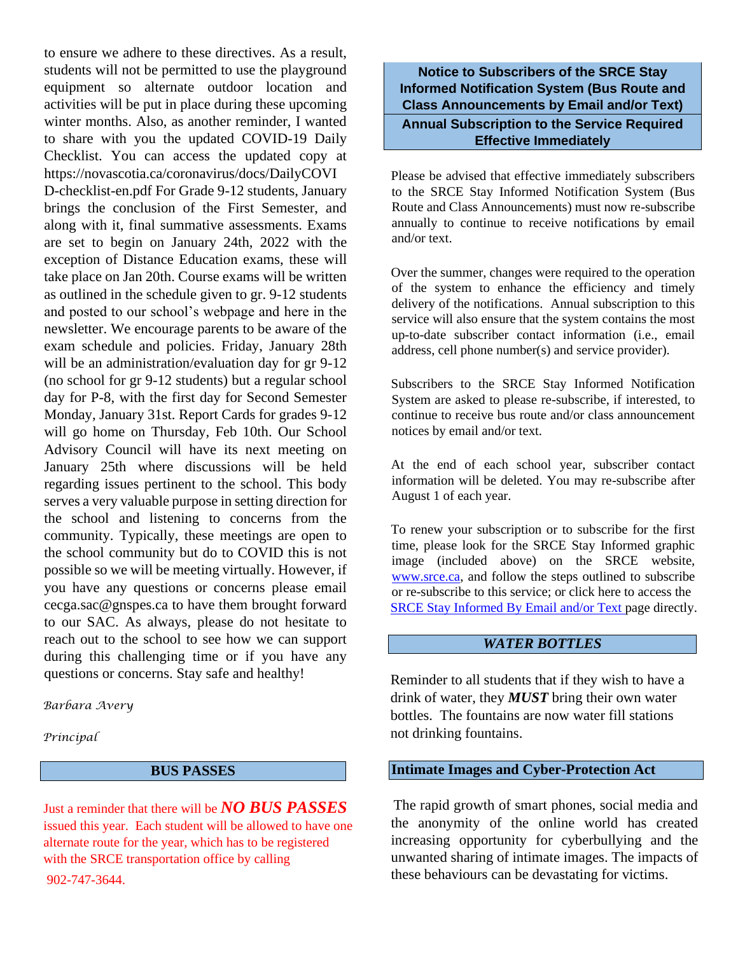to ensure we adhere to these directives. As a result, students will not be permitted to use the playground equipment so alternate outdoor location and activities will be put in place during these upcoming winter months. Also, as another reminder, I wanted to share with you the updated COVID-19 Daily Checklist. You can access the updated copy at https://novascotia.ca/coronavirus/docs/DailyCOVI D-checklist-en.pdf For Grade 9-12 students, January brings the conclusion of the First Semester, and along with it, final summative assessments. Exams are set to begin on January 24th, 2022 with the exception of Distance Education exams, these will take place on Jan 20th. Course exams will be written as outlined in the schedule given to gr. 9-12 students and posted to our school's webpage and here in the newsletter. We encourage parents to be aware of the exam schedule and policies. Friday, January 28th will be an administration/evaluation day for gr 9-12 (no school for gr 9-12 students) but a regular school day for P-8, with the first day for Second Semester Monday, January 31st. Report Cards for grades 9-12 will go home on Thursday, Feb 10th. Our School Advisory Council will have its next meeting on January 25th where discussions will be held regarding issues pertinent to the school. This body serves a very valuable purpose in setting direction for the school and listening to concerns from the community. Typically, these meetings are open to the school community but do to COVID this is not possible so we will be meeting virtually. However, if you have any questions or concerns please email cecga.sac@gnspes.ca to have them brought forward to our SAC. As always, please do not hesitate to reach out to the school to see how we can support during this challenging time or if you have any questions or concerns. Stay safe and healthy!

*Barbara Avery*

*Principal*

#### **BUS PASSES**

Just a reminder that there will be *NO BUS PASSES* issued this year. Each student will be allowed to have one alternate route for the year, which has to be registered with the SRCE transportation office by calling 902-747-3644.

**Notice to Subscribers of the SRCE Stay Informed Notification System (Bus Route and Class Announcements by Email and/or Text) Annual Subscription to the Service Required Effective Immediately**

Please be advised that effective immediately subscribers to the SRCE Stay Informed Notification System (Bus Route and Class Announcements) must now re-subscribe annually to continue to receive notifications by email and/or text.

Over the summer, changes were required to the operation of the system to enhance the efficiency and timely delivery of the notifications. Annual subscription to this service will also ensure that the system contains the most up-to-date subscriber contact information (i.e., email address, cell phone number(s) and service provider).

Subscribers to the SRCE Stay Informed Notification System are asked to please re-subscribe, if interested, to continue to receive bus route and/or class announcement notices by email and/or text.

At the end of each school year, subscriber contact information will be deleted. You may re-subscribe after August 1 of each year.

To renew your subscription or to subscribe for the first time, please look for the SRCE Stay Informed graphic image (included above) on the SRCE website, [www.srce.ca,](http://www.srce.ca/) and follow the steps outlined to subscribe or re-subscribe to this service; or click here to access the [SRCE Stay Informed By Email and/or Text](https://srce.ca/content/stay-informed) [pa](https://srce.ca/content/stay-informed)ge directly.

## *WATER BOTTLES*

Reminder to all students that if they wish to have a drink of water, they *MUST* bring their own water bottles. The fountains are now water fill stations not drinking fountains.

#### **Intimate Images and Cyber-Protection Act**

The rapid growth of smart phones, social media and the anonymity of the online world has created increasing opportunity for cyberbullying and the unwanted sharing of intimate images. The impacts of these behaviours can be devastating for victims.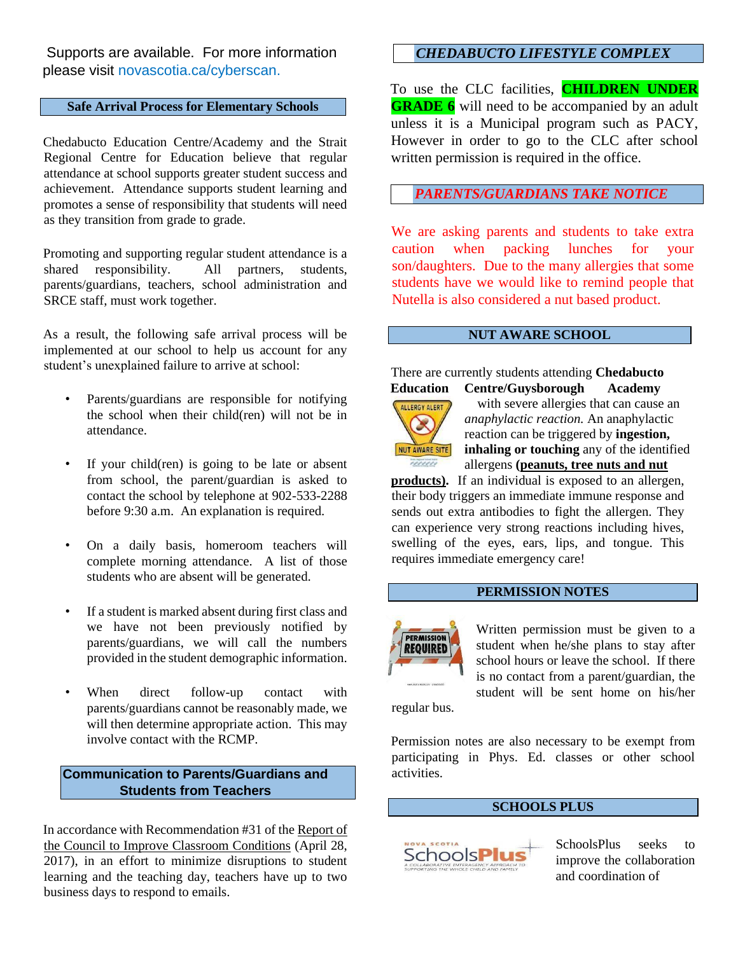Supports are available. For more information please visit novascotia.ca/cyberscan.

## **Safe Arrival Process for Elementary Schools**

Chedabucto Education Centre/Academy and the Strait Regional Centre for Education believe that regular attendance at school supports greater student success and achievement. Attendance supports student learning and promotes a sense of responsibility that students will need as they transition from grade to grade.

Promoting and supporting regular student attendance is a shared responsibility. All partners, students, parents/guardians, teachers, school administration and SRCE staff, must work together.

As a result, the following safe arrival process will be implemented at our school to help us account for any student's unexplained failure to arrive at school:

- Parents/guardians are responsible for notifying the school when their child(ren) will not be in attendance.
- If your child(ren) is going to be late or absent from school, the parent/guardian is asked to contact the school by telephone at 902-533-2288 before 9:30 a.m. An explanation is required.
- On a daily basis, homeroom teachers will complete morning attendance. A list of those students who are absent will be generated.
- If a student is marked absent during first class and we have not been previously notified by parents/guardians, we will call the numbers provided in the student demographic information.
- When direct follow-up contact with parents/guardians cannot be reasonably made, we will then determine appropriate action. This may involve contact with the RCMP.

#### **Communication to Parents/Guardians and Students from Teachers**

In accordance with Recommendation #31 of the Report of the Council to Improve Classroom Conditions (April 28, 2017), in an effort to minimize disruptions to student learning and the teaching day, teachers have up to two business days to respond to emails.

## *CHEDABUCTO LIFESTYLE COMPLEX*

To use the CLC facilities, **CHILDREN UNDER GRADE 6** will need to be accompanied by an adult unless it is a Municipal program such as PACY, However in order to go to the CLC after school written permission is required in the office.

## *PARENTS/GUARDIANS TAKE NOTICE*

We are asking parents and students to take extra caution when packing lunches for your son/daughters. Due to the many allergies that some students have we would like to remind people that Nutella is also considered a nut based product.

#### **NUT AWARE SCHOOL**

There are currently students attending **Chedabucto Education Centre/Guysborough Academy**



with severe allergies that can cause an *anaphylactic reaction.* An anaphylactic reaction can be triggered by **ingestion, inhaling or touching** any of the identified allergens **(peanuts, tree nuts and nut**

**products).** If an individual is exposed to an allergen, their body triggers an immediate immune response and sends out extra antibodies to fight the allergen. They can experience very strong reactions including hives, swelling of the eyes, ears, lips, and tongue. This requires immediate emergency care!

#### **PERMISSION NOTES**



Written permission must be given to a student when he/she plans to stay after school hours or leave the school. If there is no contact from a parent/guardian, the student will be sent home on his/her

regular bus.

Permission notes are also necessary to be exempt from participating in Phys. Ed. classes or other school activities.

#### **SCHOOLS PLUS**



SchoolsPlus seeks to improve the collaboration and coordination of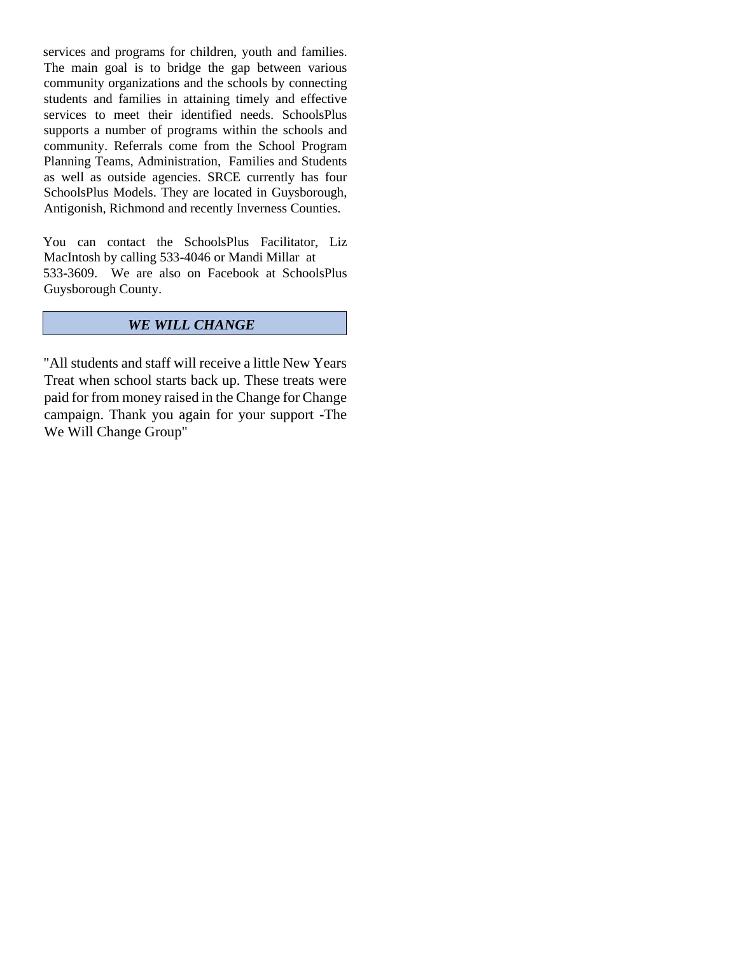services and programs for children, youth and families. The main goal is to bridge the gap between various community organizations and the schools by connecting students and families in attaining timely and effective services to meet their identified needs. SchoolsPlus supports a number of programs within the schools and community. Referrals come from the School Program Planning Teams, Administration, Families and Students as well as outside agencies. SRCE currently has four SchoolsPlus Models. They are located in Guysborough, Antigonish, Richmond and recently Inverness Counties.

You can contact the SchoolsPlus Facilitator, Liz MacIntosh by calling 533-4046 or Mandi Millar at 533-3609. We are also on Facebook at SchoolsPlus Guysborough County.

## *WE WILL CHANGE*

"All students and staff will receive a little New Years Treat when school starts back up. These treats were paid for from money raised in the Change for Change campaign. Thank you again for your support -The We Will Change Group"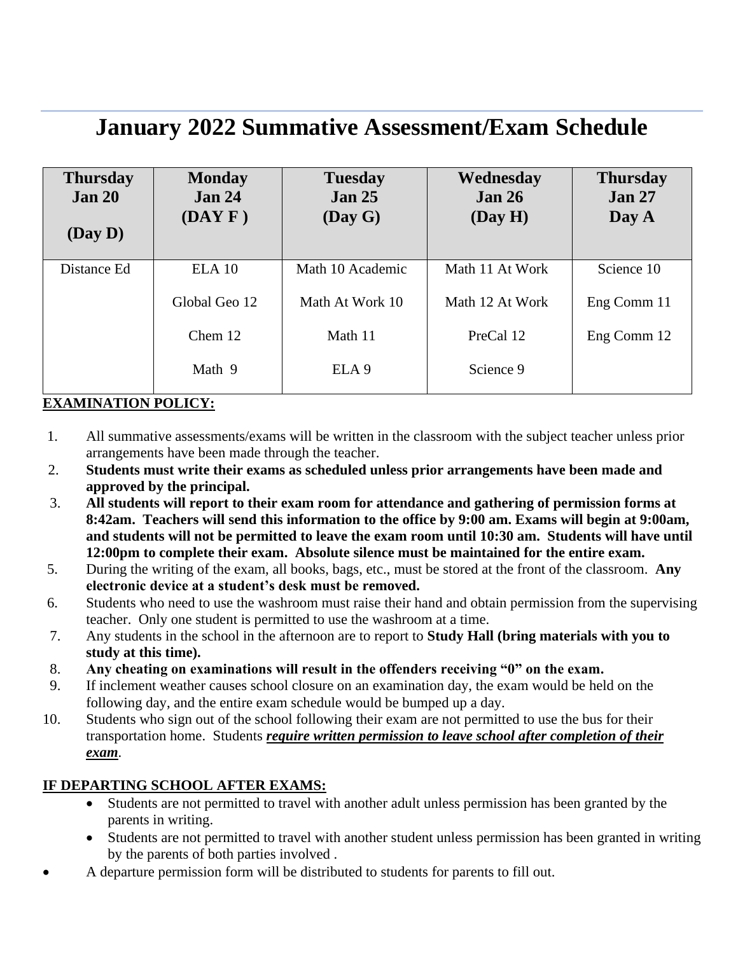## **January 2022 Summative Assessment/Exam Schedule**

| <b>Thursday</b><br><b>Jan 20</b><br>(Day D) | <b>Monday</b><br><b>Jan 24</b><br>(DAYF) | <b>Tuesday</b><br>Jan <sub>25</sub><br>(Day G) | Wednesday<br><b>Jan 26</b><br>(Day H) | <b>Thursday</b><br><b>Jan 27</b><br>Day A |
|---------------------------------------------|------------------------------------------|------------------------------------------------|---------------------------------------|-------------------------------------------|
| Distance Ed                                 | $ELA$ 10                                 | Math 10 Academic                               | Math 11 At Work                       | Science 10                                |
|                                             | Global Geo 12                            | Math At Work 10                                | Math 12 At Work                       | Eng Comm 11                               |
|                                             | Chem 12                                  | Math 11                                        | PreCal 12                             | Eng Comm 12                               |
|                                             | Math 9                                   | ELA <sub>9</sub>                               | Science 9                             |                                           |

## **EXAMINATION POLICY:**

- 1. All summative assessments/exams will be written in the classroom with the subject teacher unless prior arrangements have been made through the teacher.
- 2. **Students must write their exams as scheduled unless prior arrangements have been made and approved by the principal.**
- 3. **All students will report to their exam room for attendance and gathering of permission forms at 8:42am. Teachers will send this information to the office by 9:00 am. Exams will begin at 9:00am, and students will not be permitted to leave the exam room until 10:30 am. Students will have until 12:00pm to complete their exam. Absolute silence must be maintained for the entire exam.**
- 5. During the writing of the exam, all books, bags, etc., must be stored at the front of the classroom. **Any electronic device at a student's desk must be removed.**
- 6. Students who need to use the washroom must raise their hand and obtain permission from the supervising teacher. Only one student is permitted to use the washroom at a time.
- 7. Any students in the school in the afternoon are to report to **Study Hall (bring materials with you to study at this time).**
- 8. **Any cheating on examinations will result in the offenders receiving "0" on the exam.**
- 9. If inclement weather causes school closure on an examination day, the exam would be held on the following day, and the entire exam schedule would be bumped up a day.
- 10. Students who sign out of the school following their exam are not permitted to use the bus for their transportation home. Students *require written permission to leave school after completion of their exam*.

## **IF DEPARTING SCHOOL AFTER EXAMS:**

- Students are not permitted to travel with another adult unless permission has been granted by the parents in writing.
- Students are not permitted to travel with another student unless permission has been granted in writing by the parents of both parties involved .
- A departure permission form will be distributed to students for parents to fill out.